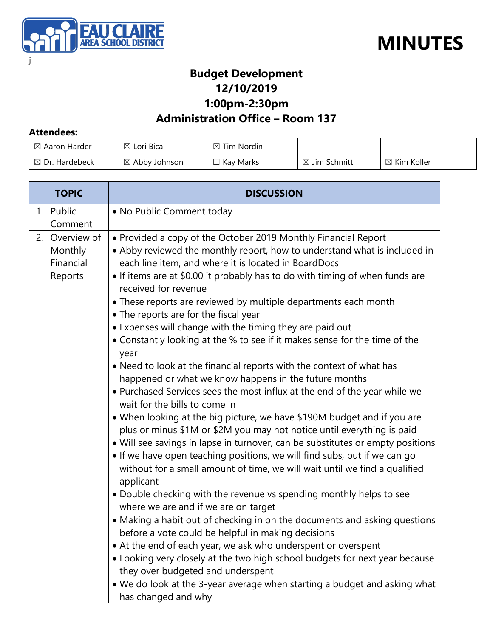



### **Budget Development 12/10/2019**

**1:00pm-2:30pm**

#### **Administration Office – Room 137**

#### **Attendees:**

| $\boxtimes$ Aaron Harder  | $\boxtimes$ Lori Bica    | $\boxtimes$ Tim Nordin |                         |                        |
|---------------------------|--------------------------|------------------------|-------------------------|------------------------|
| $\boxtimes$ Dr. Hardebeck | $\boxtimes$ Abby Johnson | Kay Marks              | $\boxtimes$ Jim Schmitt | $\boxtimes$ Kim Koller |

| <b>TOPIC</b>                                      | <b>DISCUSSION</b>                                                                                                                                                                                                                                                                                                                                                                                                                                                                                                                                                                                                                                                                                                                                                                                                                                                                                                                                                                                                                                                                                                                                                                                                                                                                                                                                                                                                                                                                                                                                                                                                                                                                                                                                                                  |
|---------------------------------------------------|------------------------------------------------------------------------------------------------------------------------------------------------------------------------------------------------------------------------------------------------------------------------------------------------------------------------------------------------------------------------------------------------------------------------------------------------------------------------------------------------------------------------------------------------------------------------------------------------------------------------------------------------------------------------------------------------------------------------------------------------------------------------------------------------------------------------------------------------------------------------------------------------------------------------------------------------------------------------------------------------------------------------------------------------------------------------------------------------------------------------------------------------------------------------------------------------------------------------------------------------------------------------------------------------------------------------------------------------------------------------------------------------------------------------------------------------------------------------------------------------------------------------------------------------------------------------------------------------------------------------------------------------------------------------------------------------------------------------------------------------------------------------------------|
| 1. Public<br>Comment                              | • No Public Comment today                                                                                                                                                                                                                                                                                                                                                                                                                                                                                                                                                                                                                                                                                                                                                                                                                                                                                                                                                                                                                                                                                                                                                                                                                                                                                                                                                                                                                                                                                                                                                                                                                                                                                                                                                          |
| 2. Overview of<br>Monthly<br>Financial<br>Reports | • Provided a copy of the October 2019 Monthly Financial Report<br>• Abby reviewed the monthly report, how to understand what is included in<br>each line item, and where it is located in BoardDocs<br>• If items are at \$0.00 it probably has to do with timing of when funds are<br>received for revenue<br>• These reports are reviewed by multiple departments each month<br>• The reports are for the fiscal year<br>• Expenses will change with the timing they are paid out<br>• Constantly looking at the % to see if it makes sense for the time of the<br>year<br>• Need to look at the financial reports with the context of what has<br>happened or what we know happens in the future months<br>. Purchased Services sees the most influx at the end of the year while we<br>wait for the bills to come in<br>• When looking at the big picture, we have \$190M budget and if you are<br>plus or minus \$1M or \$2M you may not notice until everything is paid<br>• Will see savings in lapse in turnover, can be substitutes or empty positions<br>• If we have open teaching positions, we will find subs, but if we can go<br>without for a small amount of time, we will wait until we find a qualified<br>applicant<br>• Double checking with the revenue vs spending monthly helps to see<br>where we are and if we are on target<br>• Making a habit out of checking in on the documents and asking questions<br>before a vote could be helpful in making decisions<br>• At the end of each year, we ask who underspent or overspent<br>• Looking very closely at the two high school budgets for next year because<br>they over budgeted and underspent<br>. We do look at the 3-year average when starting a budget and asking what<br>has changed and why |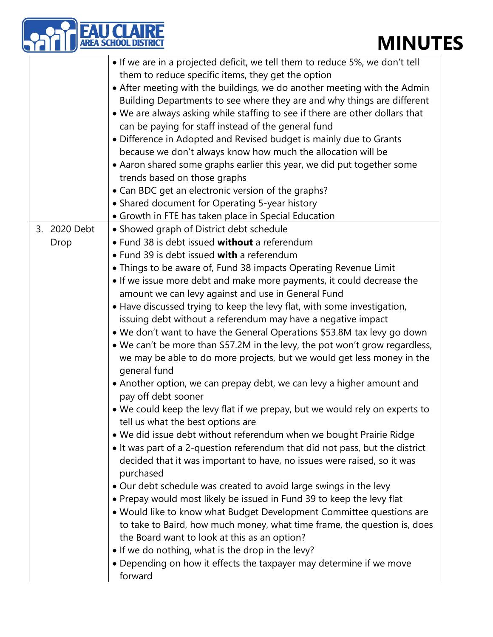## **MINUTES**

| <b>EAU CLAIRE</b><br>AREA SCHOOL DISTRICT<br><b>MINU</b>                                                                                                                                                                                                                                                                                                                                                                                                                                                                                                                                                                                                                                                                               |
|----------------------------------------------------------------------------------------------------------------------------------------------------------------------------------------------------------------------------------------------------------------------------------------------------------------------------------------------------------------------------------------------------------------------------------------------------------------------------------------------------------------------------------------------------------------------------------------------------------------------------------------------------------------------------------------------------------------------------------------|
| • If we are in a projected deficit, we tell them to reduce 5%, we don't tell<br>them to reduce specific items, they get the option<br>• After meeting with the buildings, we do another meeting with the Admin<br>Building Departments to see where they are and why things are different<br>• We are always asking while staffing to see if there are other dollars that<br>can be paying for staff instead of the general fund<br>• Difference in Adopted and Revised budget is mainly due to Grants<br>because we don't always know how much the allocation will be<br>• Aaron shared some graphs earlier this year, we did put together some<br>trends based on those graphs<br>• Can BDC get an electronic version of the graphs? |

- Shared document for Operating 5-year history
- Growth in FTE has taken place in Special Education
- 3. 2020 Debt • Showed graph of District debt schedule

Drop

- Fund 38 is debt issued **without** a referendum
	- Fund 39 is debt issued **with** a referendum
		- Things to be aware of, Fund 38 impacts Operating Revenue Limit
		- If we issue more debt and make more payments, it could decrease the amount we can levy against and use in General Fund
			- Have discussed trying to keep the levy flat, with some investigation, issuing debt without a referendum may have a negative impact
			- We don't want to have the General Operations \$53.8M tax levy go down
		- We can't be more than \$57.2M in the levy, the pot won't grow regardless, we may be able to do more projects, but we would get less money in the general fund
		- Another option, we can prepay debt, we can levy a higher amount and pay off debt sooner
		- We could keep the levy flat if we prepay, but we would rely on experts to tell us what the best options are
		- We did issue debt without referendum when we bought Prairie Ridge
		- It was part of a 2-question referendum that did not pass, but the district decided that it was important to have, no issues were raised, so it was purchased
		- Our debt schedule was created to avoid large swings in the levy
		- Prepay would most likely be issued in Fund 39 to keep the levy flat
		- Would like to know what Budget Development Committee questions are to take to Baird, how much money, what time frame, the question is, does the Board want to look at this as an option?
		- If we do nothing, what is the drop in the levy?
		- Depending on how it effects the taxpayer may determine if we move forward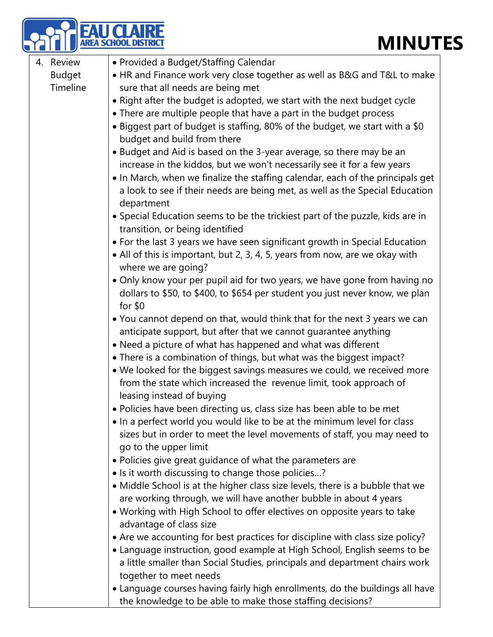|               | U CLAIRF<br><b>MINUTES</b>                                                     |
|---------------|--------------------------------------------------------------------------------|
| 4. Review     | • Provided a Budget/Staffing Calendar                                          |
| <b>Budget</b> | • HR and Finance work very close together as well as B&G and T&L to make       |
| Timeline      | sure that all needs are being met                                              |
|               | • Right after the budget is adopted, we start with the next budget cycle       |
|               | • There are multiple people that have a part in the budget process             |
|               | • Biggest part of budget is staffing, 80% of the budget, we start with a \$0   |
|               | budget and build from there                                                    |
|               | • Budget and Aid is based on the 3-year average, so there may be an            |
|               | increase in the kiddos, but we won't necessarily see it for a few years        |
|               | • In March, when we finalize the staffing calendar, each of the principals get |
|               | a look to see if their needs are being met, as well as the Special Education   |
|               | department                                                                     |
|               | • Special Education seems to be the trickiest part of the puzzle, kids are in  |
|               | transition, or being identified                                                |
|               | • For the last 3 years we have seen significant growth in Special Education    |
|               | • All of this is important, but 2, 3, 4, 5, years from now, are we okay with   |
|               | where we are going?                                                            |
|               | • Only know your per pupil aid for two years, we have gone from having no      |
|               | dollars to \$50, to \$400, to \$654 per student you just never know, we plan   |
|               | for $$0$                                                                       |
|               | • You cannot depend on that, would think that for the next 3 years we can      |
|               | anticipate support, but after that we cannot guarantee anything                |
|               | • Need a picture of what has happened and what was different                   |
|               | • There is a combination of things, but what was the biggest impact?           |
|               | • We looked for the biggest savings measures we could, we received more        |
|               | from the state which increased the revenue limit, took approach of             |
|               | leasing instead of buying                                                      |
|               | • Policies have been directing us, class size has been able to be met          |
|               | • In a perfect world you would like to be at the minimum level for class       |
|               | sizes but in order to meet the level movements of staff, you may need to       |
|               | go to the upper limit                                                          |
|               | • Policies give great guidance of what the parameters are                      |
|               | • Is it worth discussing to change those policies?                             |
|               | • Middle School is at the higher class size levels, there is a bubble that we  |
|               | are working through, we will have another bubble in about 4 years              |
|               | . Working with High School to offer electives on opposite years to take        |
|               | advantage of class size                                                        |
|               | • Are we accounting for best practices for discipline with class size policy?  |
|               | • Language instruction, good example at High School, English seems to be       |
|               | a little smaller than Social Studies, principals and department chairs work    |
|               | together to meet needs                                                         |
|               | • Language courses having fairly high enrollments, do the buildings all have   |
|               | the knowledge to be able to make those staffing decisions?                     |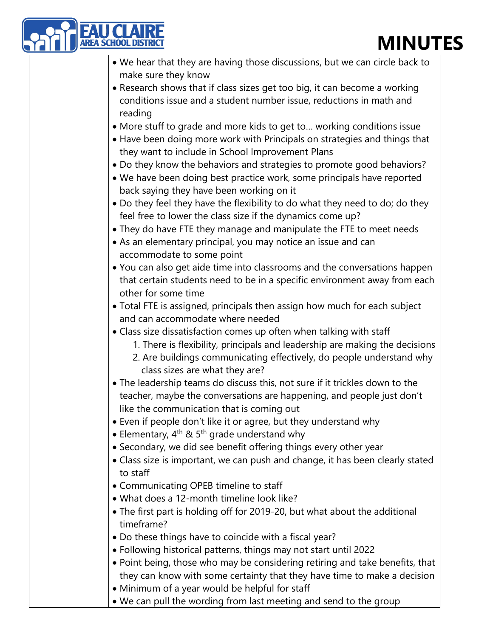### **MINUTES**

| <b>MINUT</b>                                                                                                       |
|--------------------------------------------------------------------------------------------------------------------|
| • We hear that they are having those discussions, but we can circle back to                                        |
| make sure they know                                                                                                |
| • Research shows that if class sizes get too big, it can become a working                                          |
| conditions issue and a student number issue, reductions in math and                                                |
| reading                                                                                                            |
| • More stuff to grade and more kids to get to working conditions issue                                             |
| • Have been doing more work with Principals on strategies and things that                                          |
| they want to include in School Improvement Plans                                                                   |
| . Do they know the behaviors and strategies to promote good behaviors?                                             |
| . We have been doing best practice work, some principals have reported<br>back saying they have been working on it |
| • Do they feel they have the flexibility to do what they need to do; do they                                       |
| feel free to lower the class size if the dynamics come up?                                                         |
| • They do have FTE they manage and manipulate the FTE to meet needs                                                |
| • As an elementary principal, you may notice an issue and can                                                      |
| accommodate to some point                                                                                          |
| • You can also get aide time into classrooms and the conversations happen                                          |
| that certain students need to be in a specific environment away from each                                          |
| other for some time                                                                                                |
| . Total FTE is assigned, principals then assign how much for each subject                                          |
| and can accommodate where needed                                                                                   |
| • Class size dissatisfaction comes up often when talking with staff                                                |
| 1. There is flexibility, principals and leadership are making the decisions                                        |
| 2. Are buildings communicating effectively, do people understand why                                               |
| class sizes are what they are?                                                                                     |
| • The leadership teams do discuss this, not sure if it trickles down to the                                        |
| teacher, maybe the conversations are happening, and people just don't                                              |
| like the communication that is coming out                                                                          |
| • Even if people don't like it or agree, but they understand why                                                   |
| • Elementary, $4^{th}$ & 5 <sup>th</sup> grade understand why                                                      |
| • Secondary, we did see benefit offering things every other year                                                   |
| • Class size is important, we can push and change, it has been clearly stated<br>to staff                          |
| • Communicating OPEB timeline to staff                                                                             |
| • What does a 12-month timeline look like?                                                                         |
| • The first part is holding off for 2019-20, but what about the additional<br>timeframe?                           |
| • Do these things have to coincide with a fiscal year?                                                             |
| • Following historical patterns, things may not start until 2022                                                   |
| • Point being, those who may be considering retiring and take benefits, that                                       |
| they can know with some certainty that they have time to make a decision                                           |
| • Minimum of a year would be helpful for staff                                                                     |
| • We can pull the wording from last meeting and send to the group                                                  |